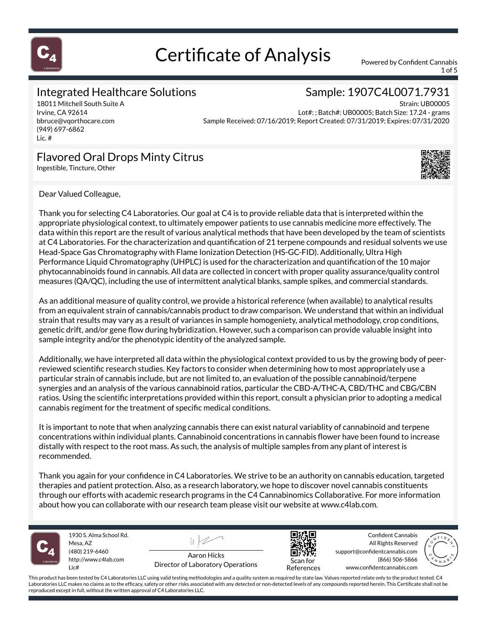

1 of 5

### Integrated Healthcare Solutions

18011 Mitchell South Suite A Irvine, CA 92614 bbruce@vqorthocare.com (949) 697-6862 Lic. #

### Sample: 1907C4L0071.7931

Strain: UB00005 Lot#: ; Batch#: UB00005; Batch Size: 17.24 - grams Sample Received: 07/16/2019; Report Created: 07/31/2019; Expires: 07/31/2020

### Flavored Oral Drops Minty Citrus

Ingestible, Tincture, Other



Dear Valued Colleague,

Thank you for selecting C4 Laboratories. Our goal at C4 is to provide reliable data that is interpreted within the appropriate physiological context, to ultimately empower patients to use cannabis medicine more effectively. The data within this report are the result of various analytical methods that have been developed by the team of scientists at C4 Laboratories. For the characterization and quantification of 21 terpene compounds and residual solvents we use Head-Space Gas Chromatography with Flame Ionization Detection (HS-GC-FID). Additionally, Ultra High Performance Liquid Chromatography (UHPLC) is used for the characterization and quantification of the 10 major phytocannabinoids found in cannabis. All data are collected in concert with proper quality assurance/quality control measures (QA/QC), including the use of intermittent analytical blanks, sample spikes, and commercial standards.

As an additional measure of quality control, we provide a historical reference (when available) to analytical results from an equivalent strain of cannabis/cannabis product to draw comparison. We understand that within an individual strain that results may vary as a result of variances in sample homogeniety, analytical methodology, crop conditions, genetic drift, and/or gene flow during hybridization. However, such a comparison can provide valuable insight into sample integrity and/or the phenotypic identity of the analyzed sample.

Additionally, we have interpreted all data within the physiological context provided to us by the growing body of peerreviewed scientific research studies. Key factors to consider when determining how to most appropriately use a particular strain of cannabis include, but are not limited to, an evaluation of the possible cannabinoid/terpene synergies and an analysis of the various cannabinoid ratios, particular the CBD-A/THC-A, CBD/THC and CBG/CBN ratios. Using the scientific interpretations provided within this report, consult a physician prior to adopting a medical cannabis regiment for the treatment of specific medical conditions.

It is important to note that when analyzing cannabis there can exist natural variablity of cannabinoid and terpene concentrations within individual plants. Cannabinoid concentrations in cannabis flower have been found to increase distally with respect to the root mass. As such, the analysis of multiple samples from any plant of interest is recommended.

Thank you again for your confidence in C4 Laboratories. We strive to be an authority on cannabis education, targeted therapies and patient protection. Also, as a research laboratory, we hope to discover novel cannabis constituents through our efforts with academic research programs in the C4 Cannabinomics Collaborative. For more information about how you can collaborate with our research team please visit our website at www.c4lab.com.



1930 S. Alma School Rd. Mesa, AZ (480) 219-6460 http://www.c4lab.com Lic#

Aaron Hicks Director of Laboratory Operations



Confident Cannabis All Rights Reserved support@confidentcannabis.com (866) 506-5866 www.confidentcannabis.com



References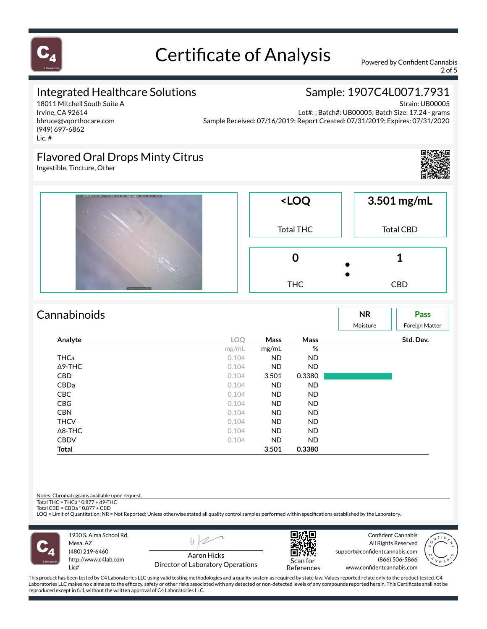

2 of 5

Sample: 1907C4L0071.7931

### Integrated Healthcare Solutions

18011 Mitchell South Suite A Irvine, CA 92614 bbruce@vqorthocare.com (949) 697-6862 Lic. #

Strain: UB00005 Lot#: ; Batch#: UB00005; Batch Size: 17.24 - grams Sample Received: 07/16/2019; Report Created: 07/31/2019; Expires: 07/31/2020

### Flavored Oral Drops Minty Citrus

Ingestible, Tincture, Other





| Cannabinoids   |       |             |           | <b>NR</b><br>Moisture | Pass<br><b>Foreign Matter</b> |
|----------------|-------|-------------|-----------|-----------------------|-------------------------------|
| Analyte        | LOQ   | <b>Mass</b> | Mass      |                       | Std. Dev.                     |
|                | mg/mL | mg/mL       | %         |                       |                               |
| <b>THCa</b>    | 0.104 | <b>ND</b>   | ND.       |                       |                               |
| $\Delta$ 9-THC | 0.104 | <b>ND</b>   | <b>ND</b> |                       |                               |
| <b>CBD</b>     | 0.104 | 3.501       | 0.3380    |                       |                               |
| CBDa           | 0.104 | <b>ND</b>   | ND.       |                       |                               |
| <b>CBC</b>     | 0.104 | ND.         | ND.       |                       |                               |
| <b>CBG</b>     | 0.104 | ND.         | ND.       |                       |                               |
| <b>CBN</b>     | 0.104 | ND.         | ND.       |                       |                               |
| <b>THCV</b>    | 0.104 | ND.         | ND.       |                       |                               |
| $\Delta$ 8-THC | 0.104 | ND.         | ND.       |                       |                               |
| <b>CBDV</b>    | 0.104 | <b>ND</b>   | <b>ND</b> |                       |                               |
| <b>Total</b>   |       | 3.501       | 0.3380    |                       |                               |

Notes: Chromatograms available upon request.

Total THC = THCa \* 0.877 + d9-THC Total CBD = CBDa \* 0.877 + CBD

LOQ = Limit of Quantitation; NR = Not Reported; Unless otherwise stated all quality control samples performed within specifications established by the Laboratory.



1930 S. Alma School Rd. Mesa, AZ (480) 219-6460 http://www.c4lab.com Lic#



Director of Laboratory Operations



Confident Cannabis All Rights Reserved support@confidentcannabis.com (866) 506-5866 www.confidentcannabis.com

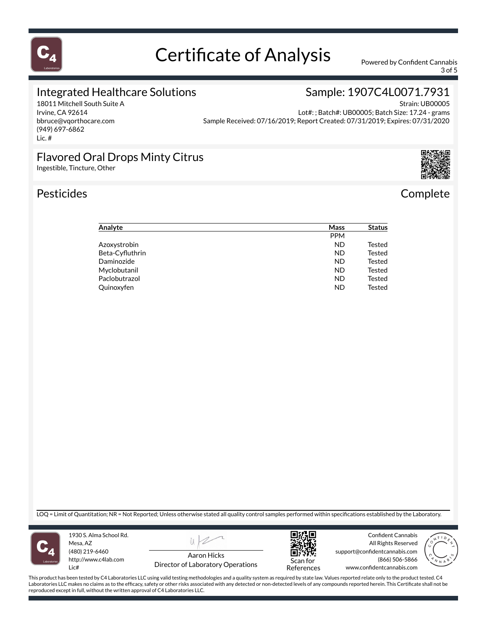

3 of 5

Sample: 1907C4L0071.7931

### Integrated Healthcare Solutions

18011 Mitchell South Suite A Irvine, CA 92614 bbruce@vqorthocare.com (949) 697-6862 Lic. #

Strain: UB00005 Lot#: ; Batch#: UB00005; Batch Size: 17.24 - grams Sample Received: 07/16/2019; Report Created: 07/31/2019; Expires: 07/31/2020

### Flavored Oral Drops Minty Citrus

Ingestible, Tincture, Other

### Pesticides **Complete**



| Analyte         | Mass       | <b>Status</b> |
|-----------------|------------|---------------|
|                 | <b>PPM</b> |               |
| Azoxystrobin    | <b>ND</b>  | Tested        |
| Beta-Cyfluthrin | <b>ND</b>  | Tested        |
| Daminozide      | <b>ND</b>  | Tested        |
| Myclobutanil    | <b>ND</b>  | Tested        |
| Paclobutrazol   | <b>ND</b>  | Tested        |
| Quinoxyfen      | <b>ND</b>  | Tested        |

LOQ = Limit of Quantitation; NR = Not Reported; Unless otherwise stated all quality control samples performed within specifications established by the Laboratory.



1930 S. Alma School Rd. Mesa, AZ (480) 219-6460 http://www.c4lab.com Lic#



Director of Laboratory Operations



Confident Cannabis All Rights Reserved support@confidentcannabis.com (866) 506-5866 www.confidentcannabis.com

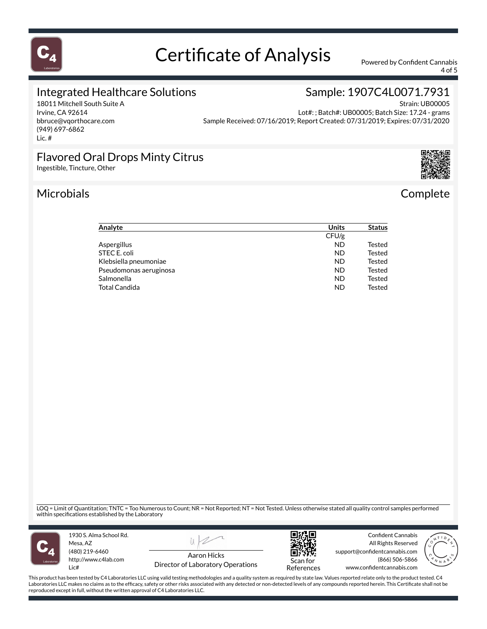

4 of 5

Sample: 1907C4L0071.7931

#### Integrated Healthcare Solutions

18011 Mitchell South Suite A Irvine, CA 92614 bbruce@vqorthocare.com (949) 697-6862 Lic. #

Strain: UB00005 Lot#: ; Batch#: UB00005; Batch Size: 17.24 - grams Sample Received: 07/16/2019; Report Created: 07/31/2019; Expires: 07/31/2020

### Flavored Oral Drops Minty Citrus

Ingestible, Tincture, Other

### Microbials Complete



| Analyte                | <b>Units</b> | <b>Status</b> |
|------------------------|--------------|---------------|
|                        | CFU/g        |               |
| Aspergillus            | <b>ND</b>    | <b>Tested</b> |
| STEC E. coli           | <b>ND</b>    | <b>Tested</b> |
| Klebsiella pneumoniae  | <b>ND</b>    | <b>Tested</b> |
| Pseudomonas aeruginosa | <b>ND</b>    | <b>Tested</b> |
| Salmonella             | <b>ND</b>    | <b>Tested</b> |
| <b>Total Candida</b>   | <b>ND</b>    | <b>Tested</b> |

LOQ = Limit of Quantitation; TNTC = Too Numerous to Count; NR = Not Reported; NT = Not Tested. Unless otherwise stated all quality control samples performed<br>within specifications established by the Laboratory



1930 S. Alma School Rd. Mesa, AZ (480) 219-6460 http://www.c4lab.com Lic#



Director of Laboratory Operations



Confident Cannabis All Rights Reserved support@confidentcannabis.com (866) 506-5866 www.confidentcannabis.com